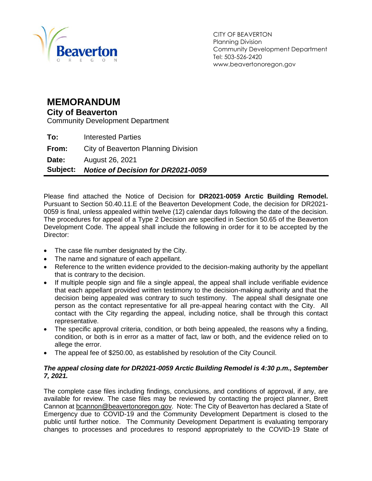

CITY OF BEAVERTON Planning Division Community Development Department Tel: 503-526-2420 www.beavertonoregon.gov

#### <span id="page-0-0"></span>**MEMORANDUM**

#### **City of Beaverton**

Community Development Department

| Date:<br>Subject: | August 26, 2021<br><b>Notice of Decision for DR2021-0059</b> |
|-------------------|--------------------------------------------------------------|
| From:             | City of Beaverton Planning Division                          |
| To:               | <b>Interested Parties</b>                                    |

Please find attached the Notice of Decision for **DR2021-0059 Arctic Building Remodel.**  Pursuant to Section 50.40.11.E of the Beaverton Development Code, the decision for DR2021- 0059 is final, unless appealed within twelve (12) calendar days following the date of the decision. The procedures for appeal of a Type 2 Decision are specified in Section 50.65 of the Beaverton Development Code. The appeal shall include the following in order for it to be accepted by the Director:

- The case file number designated by the City.
- The name and signature of each appellant.
- Reference to the written evidence provided to the decision-making authority by the appellant that is contrary to the decision.
- If multiple people sign and file a single appeal, the appeal shall include verifiable evidence that each appellant provided written testimony to the decision-making authority and that the decision being appealed was contrary to such testimony. The appeal shall designate one person as the contact representative for all pre-appeal hearing contact with the City. All contact with the City regarding the appeal, including notice, shall be through this contact representative.
- The specific approval criteria, condition, or both being appealed, the reasons why a finding, condition, or both is in error as a matter of fact, law or both, and the evidence relied on to allege the error.
- The appeal fee of \$250.00, as established by resolution of the City Council.

#### *The appeal closing date for DR2021-0059 Arctic Building Remodel is 4:30 p.m., September 7, 2021.*

The complete case files including findings, conclusions, and conditions of approval, if any, are available for review. The case files may be reviewed by contacting the project planner, Brett Cannon at [bcannon@beavertonoregon.gov.](mailto:bcannon@beavertonoregon.gov) Note: The City of Beaverton has declared a State of Emergency due to COVID-19 and the Community Development Department is closed to the public until further notice. The Community Development Department is evaluating temporary changes to processes and procedures to respond appropriately to the COVID-19 State of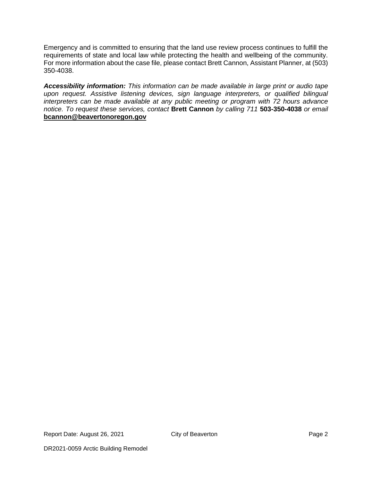Emergency and is committed to ensuring that the land use review process continues to fulfill the requirements of state and local law while protecting the health and wellbeing of the community. For more information about the case file, please contact Brett Cannon, Assistant Planner, at (503) 350-4038.

*Accessibility information: This information can be made available in large print or audio tape upon request. Assistive listening devices, sign language interpreters, or qualified bilingual interpreters can be made available at any public meeting or program with 72 hours advance notice. To request these services, contact* **Brett Cannon** *by calling 711* **503-350-4038** *or email* **[bcannon@beavertonoregon.gov](mailto:bcannon@beavertonoregon.gov)**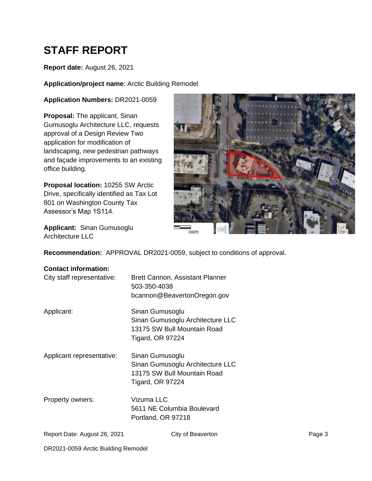# **STAFF REPORT**

#### **Report date:** August 26, 2021

**Application/project name**: Arctic Building Remodel

#### **Application Numbers:** DR2021-0059

**Proposal:** The applicant, Sinan Gumusoglu Architecture LLC, requests approval of a Design Review Two application for modification of landscaping, new pedestrian pathways and façade improvements to an existing office building.

**Proposal location:** 10255 SW Arctic Drive, specifically identified as Tax Lot 801 on Washington County Tax Assessor's Map 1S114.



**Applicant:** Sinan Gumusoglu Architecture LLC

**Recommendation:** APPROVAL DR2021-0059, subject to conditions of approval.

#### **Contact information:**

|  | City staff representative |
|--|---------------------------|
|--|---------------------------|

e: Brett Cannon, Assistant Planner 503-350-4038 bcannon@BeavertonOregon.gov

Applicant: Sinan Gumusoglu

Sinan Gumusoglu Architecture LLC 13175 SW Bull Mountain Road Tigard, OR 97224

Applicant representative: Sinan Gumusoglu

Sinan Gumusoglu Architecture LLC 13175 SW Bull Mountain Road Tigard, OR 97224

Property owners: Vizuma LLC 5611 NE Columbia Boulevard Portland, OR 97218

```
Report Date: August 26, 2021 City of Beaverton Page 3 Page 3
```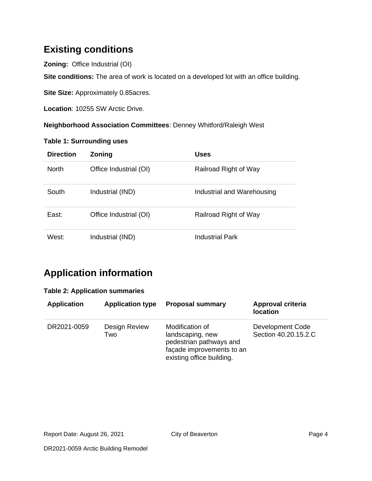## **Existing conditions**

**Zoning:** Office Industrial (OI)

**Site conditions:** The area of work is located on a developed lot with an office building.

**Site Size:** Approximately 0.85acres.

**Location**: 10255 SW Arctic Drive.

**Neighborhood Association Committees**: Denney Whitford/Raleigh West

#### **Table 1: Surrounding uses**

| <b>Direction</b> | <b>Zoning</b>          | Uses                       |
|------------------|------------------------|----------------------------|
| <b>North</b>     | Office Industrial (OI) | Railroad Right of Way      |
| South            | Industrial (IND)       | Industrial and Warehousing |
| East:            | Office Industrial (OI) | Railroad Right of Way      |
| West:            | Industrial (IND)       | Industrial Park            |

## **Application information**

#### **Table 2: Application summaries**

| <b>Application</b> | <b>Application type</b> | <b>Proposal summary</b>                                                                                                  | Approval criteria<br><b>location</b>     |
|--------------------|-------------------------|--------------------------------------------------------------------------------------------------------------------------|------------------------------------------|
| DR2021-0059        | Design Review<br>Two    | Modification of<br>landscaping, new<br>pedestrian pathways and<br>façade improvements to an<br>existing office building. | Development Code<br>Section 40.20.15.2.C |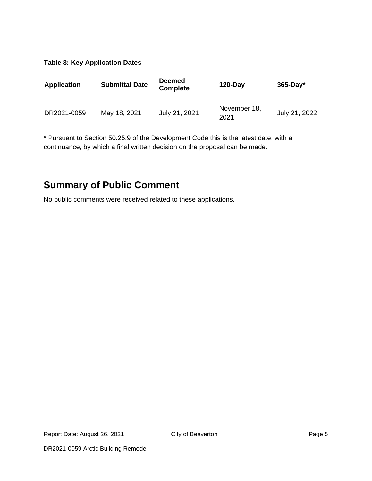#### **Table 3: Key Application Dates**

| <b>Application</b> | <b>Submittal Date</b> | <b>Deemed</b><br><b>Complete</b> | $120$ -Day           | $365$ -Day*   |
|--------------------|-----------------------|----------------------------------|----------------------|---------------|
| DR2021-0059        | May 18, 2021          | July 21, 2021                    | November 18,<br>2021 | July 21, 2022 |

\* Pursuant to Section 50.25.9 of the Development Code this is the latest date, with a continuance, by which a final written decision on the proposal can be made.

### **Summary of Public Comment**

No public comments were received related to these applications.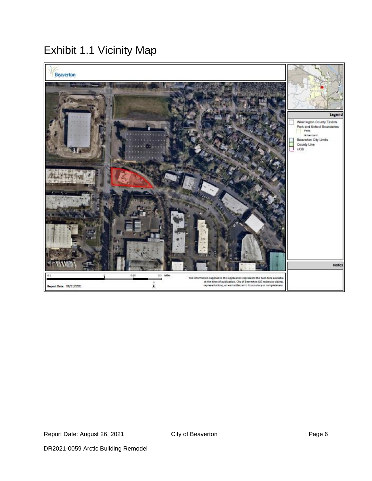## Exhibit 1.1 Vicinity Map

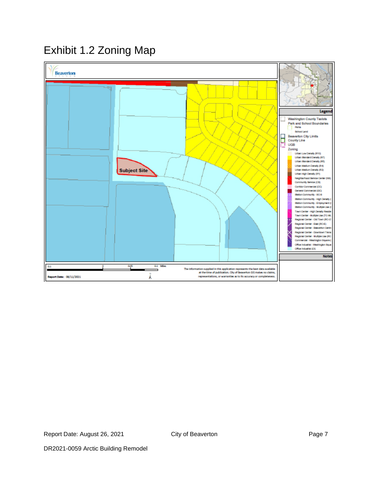## Exhibit 1.2 Zoning Map

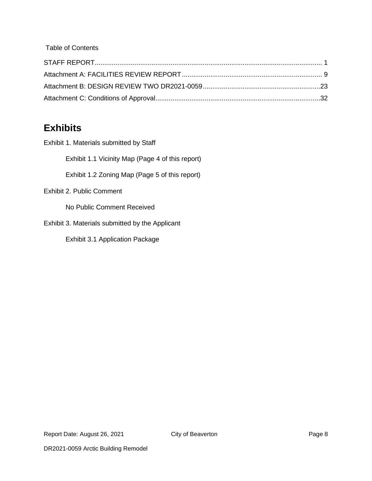Table of Contents

## **Exhibits**

Exhibit 1. Materials submitted by Staff

Exhibit 1.1 Vicinity Map (Page 4 of this report)

Exhibit 1.2 Zoning Map (Page 5 of this report)

Exhibit 2. Public Comment

No Public Comment Received

Exhibit 3. Materials submitted by the Applicant

Exhibit 3.1 Application Package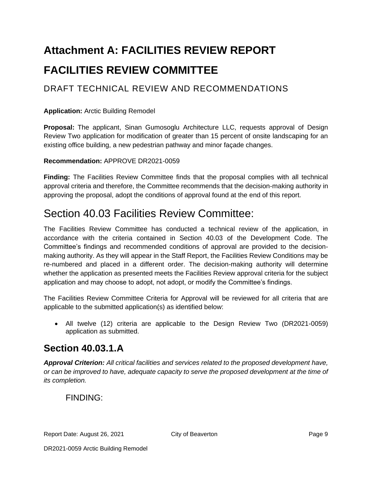# <span id="page-8-0"></span>**Attachment A: FACILITIES REVIEW REPORT FACILITIES REVIEW COMMITTEE**

### DRAFT TECHNICAL REVIEW AND RECOMMENDATIONS

#### **Application:** Arctic Building Remodel

**Proposal:** The applicant, Sinan Gumosoglu Architecture LLC, requests approval of Design Review Two application for modification of greater than 15 percent of onsite landscaping for an existing office building, a new pedestrian pathway and minor façade changes.

#### **Recommendation:** APPROVE DR2021-0059

**Finding:** The Facilities Review Committee finds that the proposal complies with all technical approval criteria and therefore, the Committee recommends that the decision-making authority in approving the proposal, adopt the conditions of approval found at the end of this report.

## Section 40.03 Facilities Review Committee:

The Facilities Review Committee has conducted a technical review of the application, in accordance with the criteria contained in Section 40.03 of the Development Code. The Committee's findings and recommended conditions of approval are provided to the decisionmaking authority. As they will appear in the Staff Report, the Facilities Review Conditions may be re-numbered and placed in a different order. The decision-making authority will determine whether the application as presented meets the Facilities Review approval criteria for the subject application and may choose to adopt, not adopt, or modify the Committee's findings.

The Facilities Review Committee Criteria for Approval will be reviewed for all criteria that are applicable to the submitted application(s) as identified below:

• All twelve (12) criteria are applicable to the Design Review Two (DR2021-0059) application as submitted.

### **Section 40.03.1.A**

*Approval Criterion: All critical facilities and services related to the proposed development have, or can be improved to have, adequate capacity to serve the proposed development at the time of its completion.*

### FINDING: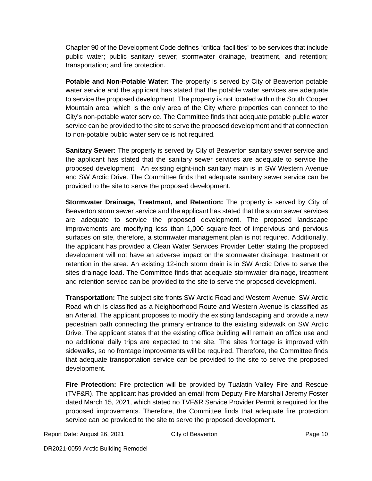Chapter 90 of the Development Code defines "critical facilities" to be services that include public water; public sanitary sewer; stormwater drainage, treatment, and retention; transportation; and fire protection.

**Potable and Non-Potable Water:** The property is served by City of Beaverton potable water service and the applicant has stated that the potable water services are adequate to service the proposed development. The property is not located within the South Cooper Mountain area, which is the only area of the City where properties can connect to the City's non-potable water service. The Committee finds that adequate potable public water service can be provided to the site to serve the proposed development and that connection to non-potable public water service is not required.

**Sanitary Sewer:** The property is served by City of Beaverton sanitary sewer service and the applicant has stated that the sanitary sewer services are adequate to service the proposed development. An existing eight-inch sanitary main is in SW Western Avenue and SW Arctic Drive. The Committee finds that adequate sanitary sewer service can be provided to the site to serve the proposed development.

**Stormwater Drainage, Treatment, and Retention:** The property is served by City of Beaverton storm sewer service and the applicant has stated that the storm sewer services are adequate to service the proposed development. The proposed landscape improvements are modifying less than 1,000 square-feet of impervious and pervious surfaces on site, therefore, a stormwater management plan is not required. Additionally, the applicant has provided a Clean Water Services Provider Letter stating the proposed development will not have an adverse impact on the stormwater drainage, treatment or retention in the area. An existing 12-inch storm drain is in SW Arctic Drive to serve the sites drainage load. The Committee finds that adequate stormwater drainage, treatment and retention service can be provided to the site to serve the proposed development.

**Transportation:** The subject site fronts SW Arctic Road and Western Avenue. SW Arctic Road which is classified as a Neighborhood Route and Western Avenue is classified as an Arterial. The applicant proposes to modify the existing landscaping and provide a new pedestrian path connecting the primary entrance to the existing sidewalk on SW Arctic Drive. The applicant states that the existing office building will remain an office use and no additional daily trips are expected to the site. The sites frontage is improved with sidewalks, so no frontage improvements will be required. Therefore, the Committee finds that adequate transportation service can be provided to the site to serve the proposed development.

**Fire Protection:** Fire protection will be provided by Tualatin Valley Fire and Rescue (TVF&R). The applicant has provided an email from Deputy Fire Marshall Jeremy Foster dated March 15, 2021, which stated no TVF&R Service Provider Permit is required for the proposed improvements. Therefore, the Committee finds that adequate fire protection service can be provided to the site to serve the proposed development.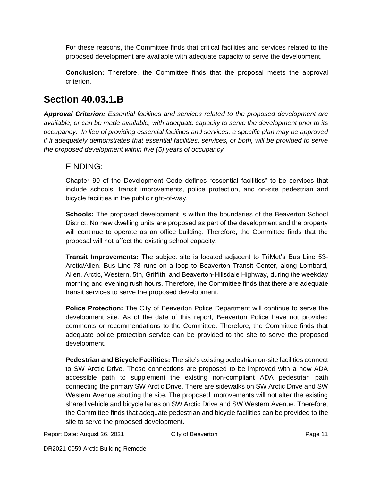For these reasons, the Committee finds that critical facilities and services related to the proposed development are available with adequate capacity to serve the development.

**Conclusion:** Therefore, the Committee finds that the proposal meets the approval criterion.

### **Section 40.03.1.B**

*Approval Criterion: Essential facilities and services related to the proposed development are available, or can be made available, with adequate capacity to serve the development prior to its occupancy. In lieu of providing essential facilities and services, a specific plan may be approved if it adequately demonstrates that essential facilities, services, or both, will be provided to serve the proposed development within five (5) years of occupancy.*

#### FINDING:

Chapter 90 of the Development Code defines "essential facilities" to be services that include schools, transit improvements, police protection, and on-site pedestrian and bicycle facilities in the public right-of-way.

**Schools:** The proposed development is within the boundaries of the Beaverton School District. No new dwelling units are proposed as part of the development and the property will continue to operate as an office building. Therefore, the Committee finds that the proposal will not affect the existing school capacity.

**Transit Improvements:** The subject site is located adjacent to TriMet's Bus Line 53- Arctic/Allen. Bus Line 78 runs on a loop to Beaverton Transit Center, along Lombard, Allen, Arctic, Western, 5th, Griffith, and Beaverton-Hillsdale Highway, during the weekday morning and evening rush hours. Therefore, the Committee finds that there are adequate transit services to serve the proposed development.

**Police Protection:** The City of Beaverton Police Department will continue to serve the development site. As of the date of this report, Beaverton Police have not provided comments or recommendations to the Committee. Therefore, the Committee finds that adequate police protection service can be provided to the site to serve the proposed development.

**Pedestrian and Bicycle Facilities:** The site's existing pedestrian on-site facilities connect to SW Arctic Drive. These connections are proposed to be improved with a new ADA accessible path to supplement the existing non-compliant ADA pedestrian path connecting the primary SW Arctic Drive. There are sidewalks on SW Arctic Drive and SW Western Avenue abutting the site. The proposed improvements will not alter the existing shared vehicle and bicycle lanes on SW Arctic Drive and SW Western Avenue. Therefore, the Committee finds that adequate pedestrian and bicycle facilities can be provided to the site to serve the proposed development.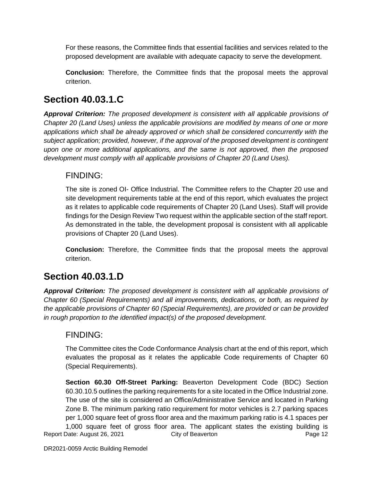For these reasons, the Committee finds that essential facilities and services related to the proposed development are available with adequate capacity to serve the development.

**Conclusion:** Therefore, the Committee finds that the proposal meets the approval criterion.

### **Section 40.03.1.C**

*Approval Criterion: The proposed development is consistent with all applicable provisions of Chapter 20 (Land Uses) unless the applicable provisions are modified by means of one or more applications which shall be already approved or which shall be considered concurrently with the subject application; provided, however, if the approval of the proposed development is contingent upon one or more additional applications, and the same is not approved, then the proposed development must comply with all applicable provisions of Chapter 20 (Land Uses).*

#### FINDING:

The site is zoned OI- Office Industrial. The Committee refers to the Chapter 20 use and site development requirements table at the end of this report, which evaluates the project as it relates to applicable code requirements of Chapter 20 (Land Uses). Staff will provide findings for the Design Review Two request within the applicable section of the staff report. As demonstrated in the table, the development proposal is consistent with all applicable provisions of Chapter 20 (Land Uses).

**Conclusion:** Therefore, the Committee finds that the proposal meets the approval criterion.

### **Section 40.03.1.D**

*Approval Criterion: The proposed development is consistent with all applicable provisions of Chapter 60 (Special Requirements) and all improvements, dedications, or both, as required by the applicable provisions of Chapter 60 (Special Requirements), are provided or can be provided in rough proportion to the identified impact(s) of the proposed development.*

### FINDING:

The Committee cites the Code Conformance Analysis chart at the end of this report, which evaluates the proposal as it relates the applicable Code requirements of Chapter 60 (Special Requirements).

Report Date: August 26, 2021 City of Beaverton **Page 12 Section 60.30 Off-Street Parking:** Beaverton Development Code (BDC) Section 60.30.10.5 outlines the parking requirements for a site located in the Office Industrial zone. The use of the site is considered an Office/Administrative Service and located in Parking Zone B. The minimum parking ratio requirement for motor vehicles is 2.7 parking spaces per 1,000 square feet of gross floor area and the maximum parking ratio is 4.1 spaces per 1,000 square feet of gross floor area. The applicant states the existing building is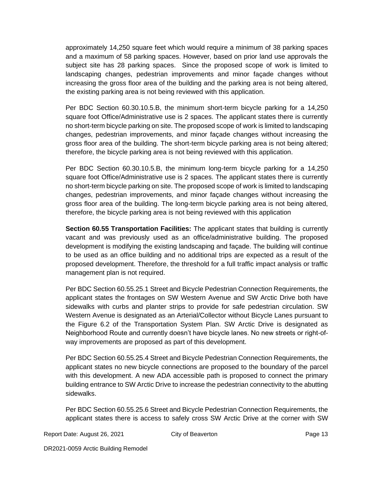approximately 14,250 square feet which would require a minimum of 38 parking spaces and a maximum of 58 parking spaces. However, based on prior land use approvals the subject site has 28 parking spaces. Since the proposed scope of work is limited to landscaping changes, pedestrian improvements and minor façade changes without increasing the gross floor area of the building and the parking area is not being altered, the existing parking area is not being reviewed with this application.

Per BDC Section 60.30.10.5.B, the minimum short-term bicycle parking for a 14,250 square foot Office/Administrative use is 2 spaces. The applicant states there is currently no short-term bicycle parking on site. The proposed scope of work is limited to landscaping changes, pedestrian improvements, and minor façade changes without increasing the gross floor area of the building. The short-term bicycle parking area is not being altered; therefore, the bicycle parking area is not being reviewed with this application.

Per BDC Section 60.30.10.5.B, the minimum long-term bicycle parking for a 14,250 square foot Office/Administrative use is 2 spaces. The applicant states there is currently no short-term bicycle parking on site. The proposed scope of work is limited to landscaping changes, pedestrian improvements, and minor façade changes without increasing the gross floor area of the building. The long-term bicycle parking area is not being altered, therefore, the bicycle parking area is not being reviewed with this application

**Section 60.55 Transportation Facilities:** The applicant states that building is currently vacant and was previously used as an office/administrative building. The proposed development is modifying the existing landscaping and façade. The building will continue to be used as an office building and no additional trips are expected as a result of the proposed development. Therefore, the threshold for a full traffic impact analysis or traffic management plan is not required.

Per BDC Section 60.55.25.1 Street and Bicycle Pedestrian Connection Requirements, the applicant states the frontages on SW Western Avenue and SW Arctic Drive both have sidewalks with curbs and planter strips to provide for safe pedestrian circulation. SW Western Avenue is designated as an Arterial/Collector without Bicycle Lanes pursuant to the Figure 6.2 of the Transportation System Plan. SW Arctic Drive is designated as Neighborhood Route and currently doesn't have bicycle lanes. No new streets or right-ofway improvements are proposed as part of this development.

Per BDC Section 60.55.25.4 Street and Bicycle Pedestrian Connection Requirements, the applicant states no new bicycle connections are proposed to the boundary of the parcel with this development. A new ADA accessible path is proposed to connect the primary building entrance to SW Arctic Drive to increase the pedestrian connectivity to the abutting sidewalks.

Per BDC Section 60.55.25.6 Street and Bicycle Pedestrian Connection Requirements, the applicant states there is access to safely cross SW Arctic Drive at the corner with SW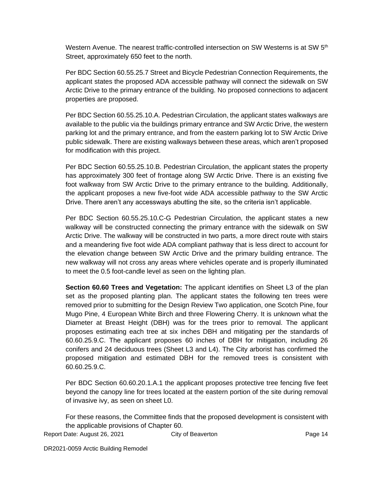Western Avenue. The nearest traffic-controlled intersection on SW Westerns is at SW 5<sup>th</sup> Street, approximately 650 feet to the north.

Per BDC Section 60.55.25.7 Street and Bicycle Pedestrian Connection Requirements, the applicant states the proposed ADA accessible pathway will connect the sidewalk on SW Arctic Drive to the primary entrance of the building. No proposed connections to adjacent properties are proposed.

Per BDC Section 60.55.25.10.A. Pedestrian Circulation, the applicant states walkways are available to the public via the buildings primary entrance and SW Arctic Drive, the western parking lot and the primary entrance, and from the eastern parking lot to SW Arctic Drive public sidewalk. There are existing walkways between these areas, which aren't proposed for modification with this project.

Per BDC Section 60.55.25.10.B. Pedestrian Circulation, the applicant states the property has approximately 300 feet of frontage along SW Arctic Drive. There is an existing five foot walkway from SW Arctic Drive to the primary entrance to the building. Additionally, the applicant proposes a new five-foot wide ADA accessible pathway to the SW Arctic Drive. There aren't any accessways abutting the site, so the criteria isn't applicable.

Per BDC Section 60.55.25.10.C-G Pedestrian Circulation, the applicant states a new walkway will be constructed connecting the primary entrance with the sidewalk on SW Arctic Drive. The walkway will be constructed in two parts, a more direct route with stairs and a meandering five foot wide ADA compliant pathway that is less direct to account for the elevation change between SW Arctic Drive and the primary building entrance. The new walkway will not cross any areas where vehicles operate and is properly illuminated to meet the 0.5 foot-candle level as seen on the lighting plan.

**Section 60.60 Trees and Vegetation:** The applicant identifies on Sheet L3 of the plan set as the proposed planting plan. The applicant states the following ten trees were removed prior to submitting for the Design Review Two application, one Scotch Pine, four Mugo Pine, 4 European White Birch and three Flowering Cherry. It is unknown what the Diameter at Breast Height (DBH) was for the trees prior to removal. The applicant proposes estimating each tree at six inches DBH and mitigating per the standards of 60.60.25.9.C. The applicant proposes 60 inches of DBH for mitigation, including 26 conifers and 24 deciduous trees (Sheet L3 and L4). The City arborist has confirmed the proposed mitigation and estimated DBH for the removed trees is consistent with 60.60.25.9.C.

Per BDC Section 60.60.20.1.A.1 the applicant proposes protective tree fencing five feet beyond the canopy line for trees located at the eastern portion of the site during removal of invasive ivy, as seen on sheet L0.

For these reasons, the Committee finds that the proposed development is consistent with the applicable provisions of Chapter 60.

Report Date: August 26, 2021 City of Beaverton **Page 14** Page 14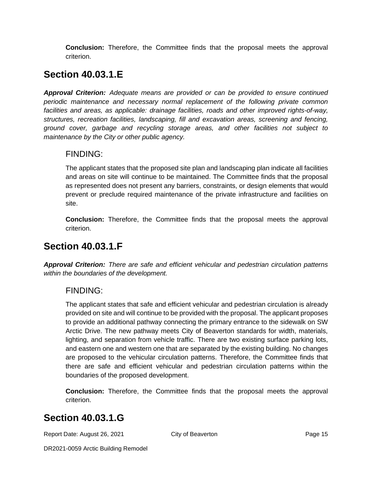**Conclusion:** Therefore, the Committee finds that the proposal meets the approval criterion.

## **Section 40.03.1.E**

*Approval Criterion: Adequate means are provided or can be provided to ensure continued periodic maintenance and necessary normal replacement of the following private common*  facilities and areas, as applicable: drainage facilities, roads and other *improved rights-of-way*, *structures, recreation facilities, landscaping, fill and excavation areas, screening and fencing, ground cover, garbage and recycling storage areas, and other facilities not subject to maintenance by the City or other public agency.*

### FINDING:

The applicant states that the proposed site plan and landscaping plan indicate all facilities and areas on site will continue to be maintained. The Committee finds that the proposal as represented does not present any barriers, constraints, or design elements that would prevent or preclude required maintenance of the private infrastructure and facilities on site.

**Conclusion:** Therefore, the Committee finds that the proposal meets the approval criterion.

### **Section 40.03.1.F**

*Approval Criterion: There are safe and efficient vehicular and pedestrian circulation patterns within the boundaries of the development.*

### FINDING:

The applicant states that safe and efficient vehicular and pedestrian circulation is already provided on site and will continue to be provided with the proposal. The applicant proposes to provide an additional pathway connecting the primary entrance to the sidewalk on SW Arctic Drive. The new pathway meets City of Beaverton standards for width, materials, lighting, and separation from vehicle traffic. There are two existing surface parking lots, and eastern one and western one that are separated by the existing building. No changes are proposed to the vehicular circulation patterns. Therefore, the Committee finds that there are safe and efficient vehicular and pedestrian circulation patterns within the boundaries of the proposed development.

**Conclusion:** Therefore, the Committee finds that the proposal meets the approval criterion.

### **Section 40.03.1.G**

Report Date: August 26, 2021 City of Beaverton **Page 15**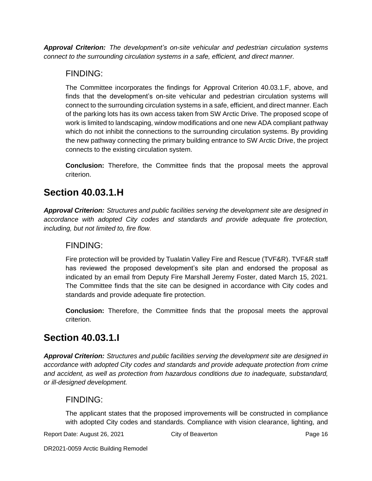*Approval Criterion: The development's on-site vehicular and pedestrian circulation systems connect to the surrounding circulation systems in a safe, efficient, and direct manner.*

### FINDING:

The Committee incorporates the findings for Approval Criterion 40.03.1.F, above, and finds that the development's on-site vehicular and pedestrian circulation systems will connect to the surrounding circulation systems in a safe, efficient, and direct manner. Each of the parking lots has its own access taken from SW Arctic Drive. The proposed scope of work is limited to landscaping, window modifications and one new ADA compliant pathway which do not inhibit the connections to the surrounding circulation systems. By providing the new pathway connecting the primary building entrance to SW Arctic Drive, the project connects to the existing circulation system.

**Conclusion:** Therefore, the Committee finds that the proposal meets the approval criterion.

## **Section 40.03.1.H**

*Approval Criterion: Structures and public facilities serving the development site are designed in accordance with adopted City codes and standards and provide adequate fire protection, including, but not limited to, fire flow.*

### FINDING:

Fire protection will be provided by Tualatin Valley Fire and Rescue (TVF&R). TVF&R staff has reviewed the proposed development's site plan and endorsed the proposal as indicated by an email from Deputy Fire Marshall Jeremy Foster, dated March 15, 2021. The Committee finds that the site can be designed in accordance with City codes and standards and provide adequate fire protection.

**Conclusion:** Therefore, the Committee finds that the proposal meets the approval criterion.

## **Section 40.03.1.I**

*Approval Criterion: Structures and public facilities serving the development site are designed in accordance with adopted City codes and standards and provide adequate protection from crime and accident, as well as protection from hazardous conditions due to inadequate, substandard, or ill-designed development.*

### FINDING:

The applicant states that the proposed improvements will be constructed in compliance with adopted City codes and standards. Compliance with vision clearance, lighting, and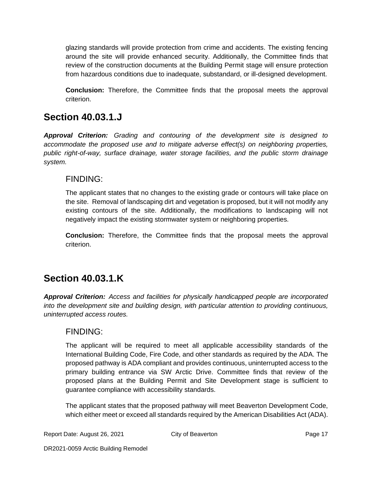glazing standards will provide protection from crime and accidents. The existing fencing around the site will provide enhanced security. Additionally, the Committee finds that review of the construction documents at the Building Permit stage will ensure protection from hazardous conditions due to inadequate, substandard, or ill-designed development.

**Conclusion:** Therefore, the Committee finds that the proposal meets the approval criterion.

### **Section 40.03.1.J**

*Approval Criterion: Grading and contouring of the development site is designed to accommodate the proposed use and to mitigate adverse effect(s) on neighboring properties, public right-of-way, surface drainage, water storage facilities, and the public storm drainage system.*

### FINDING:

The applicant states that no changes to the existing grade or contours will take place on the site. Removal of landscaping dirt and vegetation is proposed, but it will not modify any existing contours of the site. Additionally, the modifications to landscaping will not negatively impact the existing stormwater system or neighboring properties.

**Conclusion:** Therefore, the Committee finds that the proposal meets the approval criterion.

## **Section 40.03.1.K**

*Approval Criterion: Access and facilities for physically handicapped people are incorporated into the development site and building design, with particular attention to providing continuous, uninterrupted access routes.*

### FINDING:

The applicant will be required to meet all applicable accessibility standards of the International Building Code, Fire Code, and other standards as required by the ADA. The proposed pathway is ADA compliant and provides continuous, uninterrupted access to the primary building entrance via SW Arctic Drive. Committee finds that review of the proposed plans at the Building Permit and Site Development stage is sufficient to guarantee compliance with accessibility standards.

The applicant states that the proposed pathway will meet Beaverton Development Code, which either meet or exceed all standards required by the American Disabilities Act (ADA).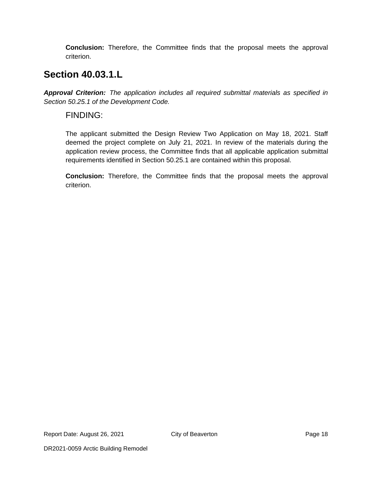**Conclusion:** Therefore, the Committee finds that the proposal meets the approval criterion.

### **Section 40.03.1.L**

*Approval Criterion: The application includes all required submittal materials as specified in Section 50.25.1 of the Development Code.*

#### FINDING:

The applicant submitted the Design Review Two Application on May 18, 2021. Staff deemed the project complete on July 21, 2021. In review of the materials during the application review process, the Committee finds that all applicable application submittal requirements identified in Section 50.25.1 are contained within this proposal.

**Conclusion:** Therefore, the Committee finds that the proposal meets the approval criterion.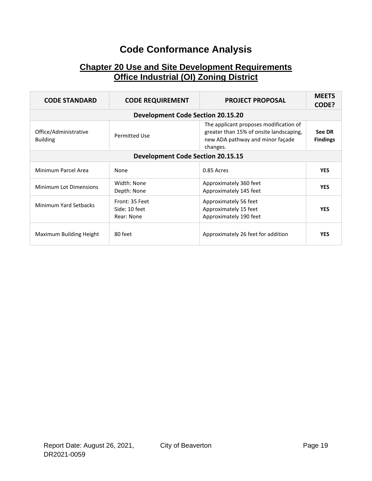## **Code Conformance Analysis**

### **Chapter 20 Use and Site Development Requirements Office Industrial (OI) Zoning District**

| <b>CODE STANDARD</b>                     | <b>CODE REQUIREMENT</b>                       | <b>PROJECT PROPOSAL</b>                                                                                                           | <b>MEETS</b><br>CODE?     |
|------------------------------------------|-----------------------------------------------|-----------------------------------------------------------------------------------------------------------------------------------|---------------------------|
|                                          | <b>Development Code Section 20.15.20</b>      |                                                                                                                                   |                           |
| Office/Administrative<br><b>Building</b> | <b>Permitted Use</b>                          | The applicant proposes modification of<br>greater than 15% of onsite landscaping,<br>new ADA pathway and minor façade<br>changes. | See DR<br><b>Findings</b> |
|                                          | <b>Development Code Section 20.15.15</b>      |                                                                                                                                   |                           |
| Minimum Parcel Area                      | None                                          | 0.85 Acres                                                                                                                        | <b>YES</b>                |
| <b>Minimum Lot Dimensions</b>            | Width: None<br>Depth: None                    | Approximately 360 feet<br>Approximately 145 feet                                                                                  | <b>YES</b>                |
| Minimum Yard Setbacks                    | Front: 35 Feet<br>Side: 10 feet<br>Rear: None | Approximately 56 feet<br>Approximately 15 feet<br>Approximately 190 feet                                                          | <b>YES</b>                |
| Maximum Building Height                  | 80 feet                                       | Approximately 26 feet for addition                                                                                                | <b>YES</b>                |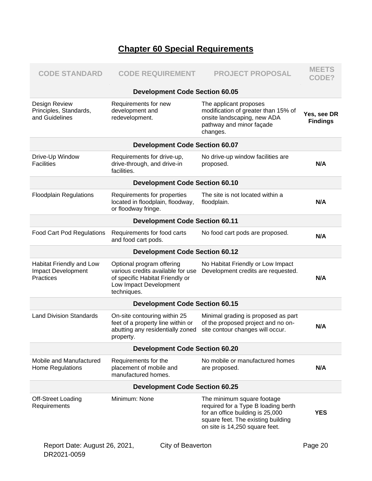### **Chapter 60 Special Requirements**

| <b>CODE STANDARD</b>                                        | <b>CODE REQUIREMENT</b>                                                                                                                    | <b>PROJECT PROPOSAL</b>                                                                                                                                                       | <b>MEETS</b><br>CODE?          |  |
|-------------------------------------------------------------|--------------------------------------------------------------------------------------------------------------------------------------------|-------------------------------------------------------------------------------------------------------------------------------------------------------------------------------|--------------------------------|--|
|                                                             | <b>Development Code Section 60.05</b>                                                                                                      |                                                                                                                                                                               |                                |  |
| Design Review<br>Principles, Standards,<br>and Guidelines   | Requirements for new<br>development and<br>redevelopment.                                                                                  | The applicant proposes<br>modification of greater than 15% of<br>onsite landscaping, new ADA<br>pathway and minor façade<br>changes.                                          | Yes, see DR<br><b>Findings</b> |  |
|                                                             | <b>Development Code Section 60.07</b>                                                                                                      |                                                                                                                                                                               |                                |  |
| Drive-Up Window<br><b>Facilities</b>                        | Requirements for drive-up,<br>drive-through, and drive-in<br>facilities.                                                                   | No drive-up window facilities are<br>proposed.                                                                                                                                | N/A                            |  |
|                                                             | <b>Development Code Section 60.10</b>                                                                                                      |                                                                                                                                                                               |                                |  |
| <b>Floodplain Regulations</b>                               | Requirements for properties<br>located in floodplain, floodway,<br>or floodway fringe.                                                     | The site is not located within a<br>floodplain.                                                                                                                               | N/A                            |  |
|                                                             | <b>Development Code Section 60.11</b>                                                                                                      |                                                                                                                                                                               |                                |  |
| <b>Food Cart Pod Regulations</b>                            | Requirements for food carts<br>and food cart pods.                                                                                         | No food cart pods are proposed.                                                                                                                                               | N/A                            |  |
|                                                             | <b>Development Code Section 60.12</b>                                                                                                      |                                                                                                                                                                               |                                |  |
| Habitat Friendly and Low<br>Impact Development<br>Practices | Optional program offering<br>various credits available for use<br>of specific Habitat Friendly or<br>Low Impact Development<br>techniques. | No Habitat Friendly or Low Impact<br>Development credits are requested.                                                                                                       | N/A                            |  |
| <b>Development Code Section 60.15</b>                       |                                                                                                                                            |                                                                                                                                                                               |                                |  |
| <b>Land Division Standards</b>                              | On-site contouring within 25<br>feet of a property line within or<br>abutting any residentially zoned<br>property.                         | Minimal grading is proposed as part<br>of the proposed project and no on-<br>site contour changes will occur.                                                                 | N/A                            |  |
|                                                             | <b>Development Code Section 60.20</b>                                                                                                      |                                                                                                                                                                               |                                |  |
| Mobile and Manufactured<br>Home Regulations                 | Requirements for the<br>placement of mobile and<br>manufactured homes.                                                                     | No mobile or manufactured homes<br>are proposed.                                                                                                                              | N/A                            |  |
| <b>Development Code Section 60.25</b>                       |                                                                                                                                            |                                                                                                                                                                               |                                |  |
| <b>Off-Street Loading</b><br>Requirements                   | Minimum: None                                                                                                                              | The minimum square footage<br>required for a Type B loading berth<br>for an office building is 25,000<br>square feet. The existing building<br>on site is 14,250 square feet. | <b>YES</b>                     |  |
| Report Date: August 26, 2021,                               | City of Beaverton                                                                                                                          |                                                                                                                                                                               | Page 20                        |  |

DR2021-0059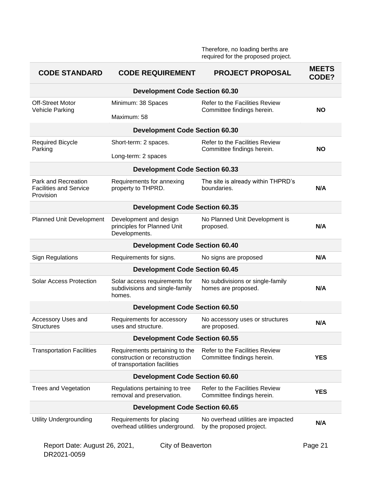Therefore, no loading berths are required for the proposed project.

| <b>CODE STANDARD</b>                                              | <b>CODE REQUIREMENT</b>                                                                          | <b>PROJECT PROPOSAL</b>                                        | <b>MEETS</b><br>CODE? |  |
|-------------------------------------------------------------------|--------------------------------------------------------------------------------------------------|----------------------------------------------------------------|-----------------------|--|
|                                                                   | <b>Development Code Section 60.30</b>                                                            |                                                                |                       |  |
| <b>Off-Street Motor</b><br><b>Vehicle Parking</b>                 | Minimum: 38 Spaces                                                                               | Refer to the Facilities Review<br>Committee findings herein.   | <b>NO</b>             |  |
|                                                                   | Maximum: 58                                                                                      |                                                                |                       |  |
|                                                                   | <b>Development Code Section 60.30</b>                                                            |                                                                |                       |  |
| <b>Required Bicycle</b><br>Parking                                | Short-term: 2 spaces.                                                                            | Refer to the Facilities Review<br>Committee findings herein.   | NΟ                    |  |
|                                                                   | Long-term: 2 spaces                                                                              |                                                                |                       |  |
|                                                                   | <b>Development Code Section 60.33</b>                                                            |                                                                |                       |  |
| Park and Recreation<br><b>Facilities and Service</b><br>Provision | Requirements for annexing<br>property to THPRD.                                                  | The site is already within THPRD's<br>boundaries.              | N/A                   |  |
|                                                                   | <b>Development Code Section 60.35</b>                                                            |                                                                |                       |  |
| Planned Unit Development                                          | Development and design<br>principles for Planned Unit<br>Developments.                           | No Planned Unit Development is<br>proposed.                    | N/A                   |  |
|                                                                   | <b>Development Code Section 60.40</b>                                                            |                                                                |                       |  |
| <b>Sign Regulations</b>                                           | Requirements for signs.                                                                          | No signs are proposed                                          | N/A                   |  |
|                                                                   | <b>Development Code Section 60.45</b>                                                            |                                                                |                       |  |
| <b>Solar Access Protection</b>                                    | Solar access requirements for<br>subdivisions and single-family<br>homes.                        | No subdivisions or single-family<br>homes are proposed.        | N/A                   |  |
|                                                                   | <b>Development Code Section 60.50</b>                                                            |                                                                |                       |  |
| Accessory Uses and<br><b>Structures</b>                           | Requirements for accessory<br>uses and structure.                                                | No accessory uses or structures<br>are proposed.               | N/A                   |  |
|                                                                   | <b>Development Code Section 60.55</b>                                                            |                                                                |                       |  |
| <b>Transportation Facilities</b>                                  | Requirements pertaining to the<br>construction or reconstruction<br>of transportation facilities | Refer to the Facilities Review<br>Committee findings herein.   | <b>YES</b>            |  |
| <b>Development Code Section 60.60</b>                             |                                                                                                  |                                                                |                       |  |
| <b>Trees and Vegetation</b>                                       | Regulations pertaining to tree<br>removal and preservation.                                      | Refer to the Facilities Review<br>Committee findings herein.   | <b>YES</b>            |  |
| <b>Development Code Section 60.65</b>                             |                                                                                                  |                                                                |                       |  |
| <b>Utility Undergrounding</b>                                     | Requirements for placing<br>overhead utilities underground.                                      | No overhead utilities are impacted<br>by the proposed project. | N/A                   |  |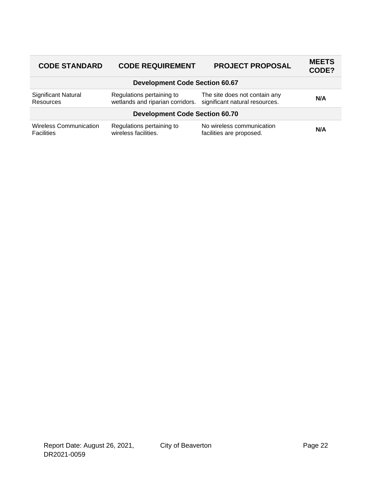| <b>CODE STANDARD</b>                               | <b>CODE REQUIREMENT</b>                                       | <b>PROJECT PROPOSAL</b>                                         | <b>MEETS</b><br>CODE? |
|----------------------------------------------------|---------------------------------------------------------------|-----------------------------------------------------------------|-----------------------|
|                                                    | <b>Development Code Section 60.67</b>                         |                                                                 |                       |
| <b>Significant Natural</b><br><b>Resources</b>     | Regulations pertaining to<br>wetlands and riparian corridors. | The site does not contain any<br>significant natural resources. | N/A                   |
|                                                    | <b>Development Code Section 60.70</b>                         |                                                                 |                       |
| <b>Wireless Communication</b><br><b>Facilities</b> | Regulations pertaining to<br>wireless facilities.             | No wireless communication<br>facilities are proposed.           | N/A                   |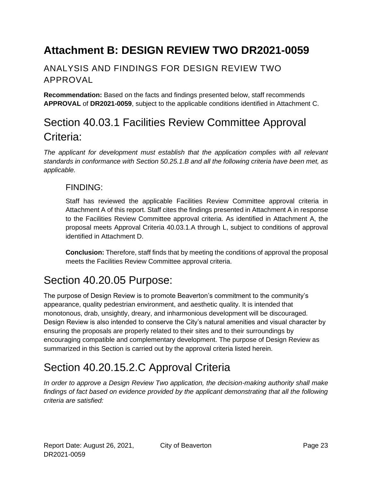# <span id="page-22-0"></span>**Attachment B: DESIGN REVIEW TWO DR2021-0059**

### ANALYSIS AND FINDINGS FOR DESIGN REVIEW TWO APPROVAL

**Recommendation:** Based on the facts and findings presented below, staff recommends **APPROVAL** of **DR2021-0059**, subject to the applicable conditions identified in Attachment C.

## Section 40.03.1 Facilities Review Committee Approval Criteria:

*The applicant for development must establish that the application complies with all relevant standards in conformance with Section 50.25.1.B and all the following criteria have been met, as applicable.*

#### FINDING:

Staff has reviewed the applicable Facilities Review Committee approval criteria in Attachment A of this report. Staff cites the findings presented in Attachment A in response to the Facilities Review Committee approval criteria. As identified in Attachment A, the proposal meets Approval Criteria 40.03.1.A through L, subject to conditions of approval identified in Attachment D.

**Conclusion:** Therefore, staff finds that by meeting the conditions of approval the proposal meets the Facilities Review Committee approval criteria.

## Section 40.20.05 Purpose:

The purpose of Design Review is to promote Beaverton's commitment to the community's appearance, quality pedestrian environment, and aesthetic quality. It is intended that monotonous, drab, unsightly, dreary, and inharmonious development will be discouraged. Design Review is also intended to conserve the City's natural amenities and visual character by ensuring the proposals are properly related to their sites and to their surroundings by encouraging compatible and complementary development. The purpose of Design Review as summarized in this Section is carried out by the approval criteria listed herein.

## Section 40.20.15.2.C Approval Criteria

*In order to approve a Design Review Two application, the decision-making authority shall make findings of fact based on evidence provided by the applicant demonstrating that all the following criteria are satisfied:*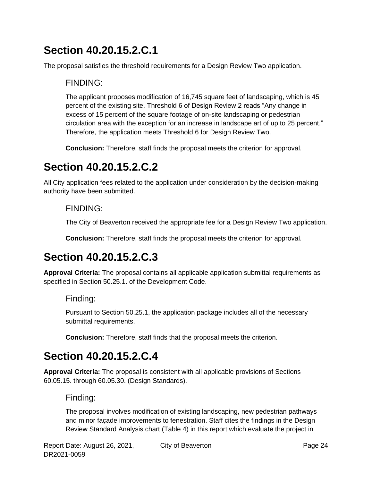# **Section 40.20.15.2.C.1**

The proposal satisfies the threshold requirements for a Design Review Two application.

### FINDING:

The applicant proposes modification of 16,745 square feet of landscaping, which is 45 percent of the existing site. Threshold 6 of Design Review 2 reads "Any change in excess of 15 percent of the square footage of on-site landscaping or pedestrian circulation area with the exception for an increase in landscape art of up to 25 percent." Therefore, the application meets Threshold 6 for Design Review Two.

**Conclusion:** Therefore, staff finds the proposal meets the criterion for approval.

## **Section 40.20.15.2.C.2**

All City application fees related to the application under consideration by the decision-making authority have been submitted.

### FINDING:

The City of Beaverton received the appropriate fee for a Design Review Two application.

**Conclusion:** Therefore, staff finds the proposal meets the criterion for approval.

# **Section 40.20.15.2.C.3**

**Approval Criteria:** The proposal contains all applicable application submittal requirements as specified in Section 50.25.1. of the Development Code.

### Finding:

Pursuant to Section 50.25.1, the application package includes all of the necessary submittal requirements.

**Conclusion:** Therefore, staff finds that the proposal meets the criterion.

# **Section 40.20.15.2.C.4**

**Approval Criteria:** The proposal is consistent with all applicable provisions of Sections 60.05.15. through 60.05.30. (Design Standards).

### Finding:

The proposal involves modification of existing landscaping, new pedestrian pathways and minor façade improvements to fenestration. Staff cites the findings in the Design Review Standard Analysis chart (Table 4) in this report which evaluate the project in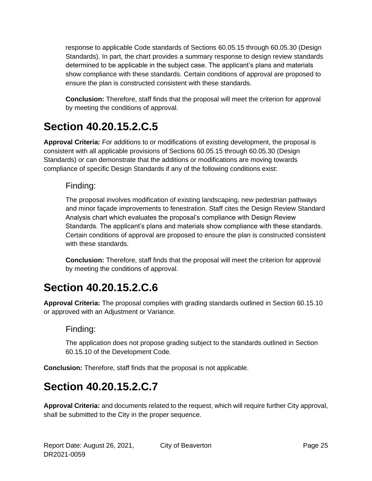response to applicable Code standards of Sections 60.05.15 through 60.05.30 (Design Standards). In part, the chart provides a summary response to design review standards determined to be applicable in the subject case. The applicant's plans and materials show compliance with these standards. Certain conditions of approval are proposed to ensure the plan is constructed consistent with these standards.

**Conclusion:** Therefore, staff finds that the proposal will meet the criterion for approval by meeting the conditions of approval.

# **Section 40.20.15.2.C.5**

**Approval Criteria:** For additions to or modifications of existing development, the proposal is consistent with all applicable provisions of Sections 60.05.15 through 60.05.30 (Design Standards) or can demonstrate that the additions or modifications are moving towards compliance of specific Design Standards if any of the following conditions exist:

### Finding:

The proposal involves modification of existing landscaping, new pedestrian pathways and minor façade improvements to fenestration. Staff cites the Design Review Standard Analysis chart which evaluates the proposal's compliance with Design Review Standards. The applicant's plans and materials show compliance with these standards. Certain conditions of approval are proposed to ensure the plan is constructed consistent with these standards.

**Conclusion:** Therefore, staff finds that the proposal will meet the criterion for approval by meeting the conditions of approval.

# **Section 40.20.15.2.C.6**

**Approval Criteria:** The proposal complies with grading standards outlined in Section 60.15.10 or approved with an Adjustment or Variance.

### Finding:

The application does not propose grading subject to the standards outlined in Section 60.15.10 of the Development Code.

**Conclusion:** Therefore, staff finds that the proposal is not applicable.

## **Section 40.20.15.2.C.7**

**Approval Criteria:** and documents related to the request, which will require further City approval, shall be submitted to the City in the proper sequence.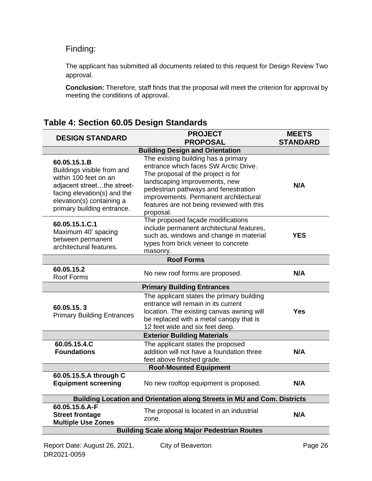### Finding:

The applicant has submitted all documents related to this request for Design Review Two approval.

**Conclusion:** Therefore, staff finds that the proposal will meet the criterion for approval by meeting the conditions of approval.

| <b>DESIGN STANDARD</b>                                                                                                                                                                      | <b>PROJECT</b>                                                                                                                                                                                                                                                                                 | <b>MEETS</b>    |  |  |  |
|---------------------------------------------------------------------------------------------------------------------------------------------------------------------------------------------|------------------------------------------------------------------------------------------------------------------------------------------------------------------------------------------------------------------------------------------------------------------------------------------------|-----------------|--|--|--|
|                                                                                                                                                                                             | <b>PROPOSAL</b>                                                                                                                                                                                                                                                                                | <b>STANDARD</b> |  |  |  |
|                                                                                                                                                                                             | <b>Building Design and Orientation</b>                                                                                                                                                                                                                                                         |                 |  |  |  |
| 60.05.15.1.B<br>Buildings visible from and<br>within 100 feet on an<br>adjacent streetthe street-<br>facing elevation(s) and the<br>elevation(s) containing a<br>primary building entrance. | The existing building has a primary<br>entrance which faces SW Arctic Drive.<br>The proposal of the project is for<br>landscaping improvements, new<br>pedestrian pathways and fenestration<br>improvements. Permanent architectural<br>features are not being reviewed with this<br>proposal. | N/A             |  |  |  |
| 60.05.15.1.C.1<br>Maximum 40' spacing<br>between permanent<br>architectural features.                                                                                                       | The proposed façade modifications<br>include permanent architectural features,<br>such as, windows and change in material<br>types from brick veneer to concrete<br>masonry.                                                                                                                   | YES             |  |  |  |
|                                                                                                                                                                                             | <b>Roof Forms</b>                                                                                                                                                                                                                                                                              |                 |  |  |  |
| 60.05.15.2<br>Roof Forms                                                                                                                                                                    | No new roof forms are proposed.                                                                                                                                                                                                                                                                | N/A             |  |  |  |
| <b>Primary Building Entrances</b>                                                                                                                                                           |                                                                                                                                                                                                                                                                                                |                 |  |  |  |
| 60.05.15.3<br><b>Primary Building Entrances</b>                                                                                                                                             | The applicant states the primary building<br>entrance will remain in its current<br>location. The existing canvas awning will<br>be replaced with a metal canopy that is<br>12 feet wide and six feet deep.                                                                                    | Yes             |  |  |  |
|                                                                                                                                                                                             | <b>Exterior Building Materials</b>                                                                                                                                                                                                                                                             |                 |  |  |  |
| 60.05.15.4.C<br><b>Foundations</b>                                                                                                                                                          | The applicant states the proposed<br>addition will not have a foundation three<br>feet above finished grade.                                                                                                                                                                                   | N/A             |  |  |  |
|                                                                                                                                                                                             | <b>Roof-Mounted Equipment</b>                                                                                                                                                                                                                                                                  |                 |  |  |  |
| 60.05.15.5.A through C<br><b>Equipment screening</b>                                                                                                                                        | No new rooftop equipment is proposed.                                                                                                                                                                                                                                                          | N/A             |  |  |  |
| Building Location and Orientation along Streets in MU and Com. Districts                                                                                                                    |                                                                                                                                                                                                                                                                                                |                 |  |  |  |
| 60.05.15.6.A-F<br><b>Street frontage</b><br><b>Multiple Use Zones</b>                                                                                                                       | The proposal is located in an industrial<br>zone.                                                                                                                                                                                                                                              | N/A             |  |  |  |
| <b>Building Scale along Major Pedestrian Routes</b>                                                                                                                                         |                                                                                                                                                                                                                                                                                                |                 |  |  |  |
|                                                                                                                                                                                             |                                                                                                                                                                                                                                                                                                |                 |  |  |  |

### **Table 4: Section 60.05 Design Standards**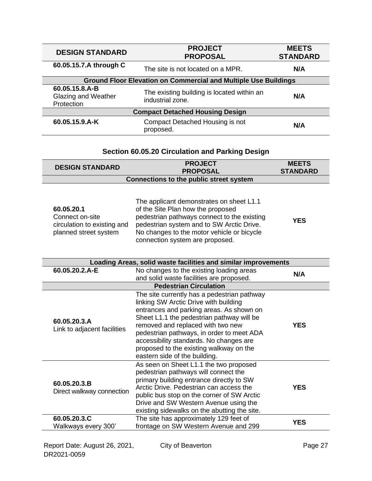| <b>DESIGN STANDARD</b>                                                 | <b>PROJECT</b><br><b>PROPOSAL</b>                              | <b>MEETS</b><br><b>STANDARD</b> |
|------------------------------------------------------------------------|----------------------------------------------------------------|---------------------------------|
| 60.05.15.7.A through C                                                 | The site is not located on a MPR.                              | N/A                             |
| <b>Ground Floor Elevation on Commercial and Multiple Use Buildings</b> |                                                                |                                 |
| 60.05.15.8.A-B<br><b>Glazing and Weather</b><br>Protection             | The existing building is located within an<br>industrial zone. | N/A                             |
| <b>Compact Detached Housing Design</b>                                 |                                                                |                                 |
| 60.05.15.9.A-K                                                         | Compact Detached Housing is not<br>proposed.                   | N/A                             |

| Section 60.05.20 Circulation and Parking Design |
|-------------------------------------------------|
|-------------------------------------------------|

| <b>DESIGN STANDARD</b>                  | <b>PROJECT</b>  | <b>MEETS</b>    |
|-----------------------------------------|-----------------|-----------------|
|                                         | <b>PROPOSAL</b> | <b>STANDARD</b> |
| Connections to the public street system |                 |                 |

| 60.05.20.1<br>Connect on-site<br>circulation to existing and<br>planned street system | The applicant demonstrates on sheet L1.1<br>of the Site Plan how the proposed<br>pedestrian pathways connect to the existing<br>pedestrian system and to SW Arctic Drive.<br>No changes to the motor vehicle or bicycle | <b>YES</b> |
|---------------------------------------------------------------------------------------|-------------------------------------------------------------------------------------------------------------------------------------------------------------------------------------------------------------------------|------------|
|                                                                                       | connection system are proposed.                                                                                                                                                                                         |            |

| Loading Areas, solid waste facilities and similar improvements |                                                                                                                                                                                                                                                                                                                                                                                        |            |
|----------------------------------------------------------------|----------------------------------------------------------------------------------------------------------------------------------------------------------------------------------------------------------------------------------------------------------------------------------------------------------------------------------------------------------------------------------------|------------|
| 60.05.20.2.A-E                                                 | No changes to the existing loading areas<br>and solid waste facilities are proposed.                                                                                                                                                                                                                                                                                                   | N/A        |
|                                                                | <b>Pedestrian Circulation</b>                                                                                                                                                                                                                                                                                                                                                          |            |
| 60.05.20.3.A<br>Link to adjacent facilities                    | The site currently has a pedestrian pathway<br>linking SW Arctic Drive with building<br>entrances and parking areas. As shown on<br>Sheet L1.1 the pedestrian pathway will be<br>removed and replaced with two new<br>pedestrian pathways, in order to meet ADA<br>accessibility standards. No changes are<br>proposed to the existing walkway on the<br>eastern side of the building. | <b>YES</b> |
| 60.05.20.3.B<br>Direct walkway connection                      | As seen on Sheet L1.1 the two proposed<br>pedestrian pathways will connect the<br>primary building entrance directly to SW<br>Arctic Drive. Pedestrian can access the<br>public bus stop on the corner of SW Arctic<br>Drive and SW Western Avenue using the<br>existing sidewalks on the abutting the site.                                                                           | <b>YES</b> |
| 60.05.20.3.C<br>Walkways every 300'                            | The site has approximately 129 feet of<br>frontage on SW Western Avenue and 299                                                                                                                                                                                                                                                                                                        | YES        |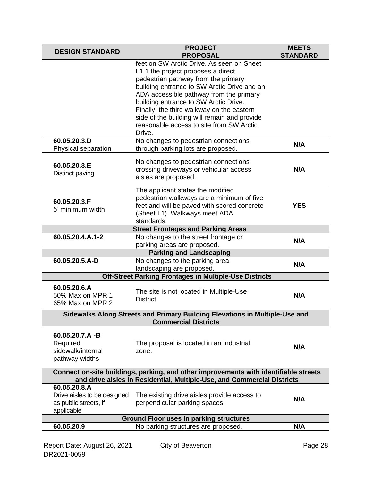| <b>DESIGN STANDARD</b>                                                                                                                                          | <b>PROJECT</b><br><b>PROPOSAL</b>                                                                                                                                                                                                                                                                                                                                                                                                                    | <b>MEETS</b><br><b>STANDARD</b> |
|-----------------------------------------------------------------------------------------------------------------------------------------------------------------|------------------------------------------------------------------------------------------------------------------------------------------------------------------------------------------------------------------------------------------------------------------------------------------------------------------------------------------------------------------------------------------------------------------------------------------------------|---------------------------------|
| 60.05.20.3.D                                                                                                                                                    | feet on SW Arctic Drive. As seen on Sheet<br>L1.1 the project proposes a direct<br>pedestrian pathway from the primary<br>building entrance to SW Arctic Drive and an<br>ADA accessible pathway from the primary<br>building entrance to SW Arctic Drive.<br>Finally, the third walkway on the eastern<br>side of the building will remain and provide<br>reasonable access to site from SW Arctic<br>Drive.<br>No changes to pedestrian connections |                                 |
| Physical separation                                                                                                                                             | through parking lots are proposed.                                                                                                                                                                                                                                                                                                                                                                                                                   | N/A                             |
| 60.05.20.3.E<br>Distinct paving                                                                                                                                 | No changes to pedestrian connections<br>crossing driveways or vehicular access<br>aisles are proposed.                                                                                                                                                                                                                                                                                                                                               | N/A                             |
| 60.05.20.3.F<br>5' minimum width                                                                                                                                | The applicant states the modified<br>pedestrian walkways are a minimum of five<br>feet and will be paved with scored concrete<br>(Sheet L1). Walkways meet ADA<br>standards.                                                                                                                                                                                                                                                                         | <b>YES</b>                      |
|                                                                                                                                                                 | <b>Street Frontages and Parking Areas</b>                                                                                                                                                                                                                                                                                                                                                                                                            |                                 |
| 60.05.20.4.A.1-2                                                                                                                                                | No changes to the street frontage or<br>parking areas are proposed.                                                                                                                                                                                                                                                                                                                                                                                  | N/A                             |
| <b>Parking and Landscaping</b>                                                                                                                                  |                                                                                                                                                                                                                                                                                                                                                                                                                                                      |                                 |
| 60.05.20.5.A-D                                                                                                                                                  | No changes to the parking area<br>landscaping are proposed.                                                                                                                                                                                                                                                                                                                                                                                          | N/A                             |
| <b>Off-Street Parking Frontages in Multiple-Use Districts</b>                                                                                                   |                                                                                                                                                                                                                                                                                                                                                                                                                                                      |                                 |
| 60.05.20.6.A<br>50% Max on MPR 1<br>65% Max on MPR 2                                                                                                            | The site is not located in Multiple-Use<br><b>District</b>                                                                                                                                                                                                                                                                                                                                                                                           | N/A                             |
| Sidewalks Along Streets and Primary Building Elevations in Multiple-Use and<br><b>Commercial Districts</b>                                                      |                                                                                                                                                                                                                                                                                                                                                                                                                                                      |                                 |
| 60.05.20.7.A -B<br>Required<br>sidewalk/internal<br>pathway widths                                                                                              | The proposal is located in an Industrial<br>zone.                                                                                                                                                                                                                                                                                                                                                                                                    | N/A                             |
| Connect on-site buildings, parking, and other improvements with identifiable streets<br>and drive aisles in Residential, Multiple-Use, and Commercial Districts |                                                                                                                                                                                                                                                                                                                                                                                                                                                      |                                 |
| 60.05.20.8.A<br>Drive aisles to be designed<br>as public streets, if<br>applicable                                                                              | The existing drive aisles provide access to<br>perpendicular parking spaces.                                                                                                                                                                                                                                                                                                                                                                         | N/A                             |
| <b>Ground Floor uses in parking structures</b>                                                                                                                  |                                                                                                                                                                                                                                                                                                                                                                                                                                                      |                                 |
| 60.05.20.9                                                                                                                                                      | No parking structures are proposed.                                                                                                                                                                                                                                                                                                                                                                                                                  | N/A                             |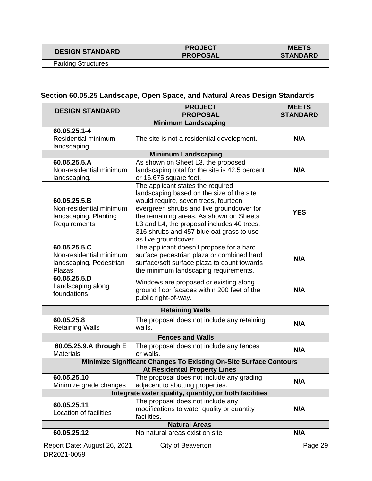## **DESIGN STANDARD PROJECT**

# **PROPOSAL**

Parking Structures

### **Section 60.05.25 Landscape, Open Space, and Natural Areas Design Standards**

| <b>DESIGN STANDARD</b>                                                           | <b>PROJECT</b><br><b>PROPOSAL</b>                                                                                                                                                                                                                                                                                                | <b>MEETS</b><br><b>STANDARD</b> |
|----------------------------------------------------------------------------------|----------------------------------------------------------------------------------------------------------------------------------------------------------------------------------------------------------------------------------------------------------------------------------------------------------------------------------|---------------------------------|
|                                                                                  | <b>Minimum Landscaping</b>                                                                                                                                                                                                                                                                                                       |                                 |
| 60.05.25.1-4<br><b>Residential minimum</b><br>landscaping.                       | The site is not a residential development.                                                                                                                                                                                                                                                                                       | N/A                             |
|                                                                                  | <b>Minimum Landscaping</b>                                                                                                                                                                                                                                                                                                       |                                 |
| 60.05.25.5.A<br>Non-residential minimum<br>landscaping.                          | As shown on Sheet L3, the proposed<br>landscaping total for the site is 42.5 percent<br>or 16,675 square feet.                                                                                                                                                                                                                   | N/A                             |
| 60.05.25.5.B<br>Non-residential minimum<br>landscaping. Planting<br>Requirements | The applicant states the required<br>landscaping based on the size of the site<br>would require, seven trees, fourteen<br>evergreen shrubs and live groundcover for<br>the remaining areas. As shown on Sheets<br>L3 and L4, the proposal includes 40 trees,<br>316 shrubs and 457 blue oat grass to use<br>as live groundcover. | <b>YES</b>                      |
| 60.05.25.5.C<br>Non-residential minimum<br>landscaping. Pedestrian<br>Plazas     | The applicant doesn't propose for a hard<br>surface pedestrian plaza or combined hard<br>surface/soft surface plaza to count towards<br>the minimum landscaping requirements.                                                                                                                                                    | N/A                             |
| 60.05.25.5.D<br>Landscaping along<br>foundations                                 | Windows are proposed or existing along<br>ground floor facades within 200 feet of the<br>public right-of-way.                                                                                                                                                                                                                    | N/A                             |
|                                                                                  | <b>Retaining Walls</b>                                                                                                                                                                                                                                                                                                           |                                 |
| 60.05.25.8<br><b>Retaining Walls</b>                                             | The proposal does not include any retaining<br>walls.                                                                                                                                                                                                                                                                            | N/A                             |
| <b>Fences and Walls</b>                                                          |                                                                                                                                                                                                                                                                                                                                  |                                 |
| 60.05.25.9.A through E<br><b>Materials</b>                                       | The proposal does not include any fences<br>or walls.                                                                                                                                                                                                                                                                            | N/A                             |
|                                                                                  | <b>Minimize Significant Changes To Existing On-Site Surface Contours</b><br><b>At Residential Property Lines</b>                                                                                                                                                                                                                 |                                 |
| 60.05.25.10<br>Minimize grade changes                                            | The proposal does not include any grading<br>adjacent to abutting properties.                                                                                                                                                                                                                                                    | N/A                             |
|                                                                                  | Integrate water quality, quantity, or both facilities                                                                                                                                                                                                                                                                            |                                 |
| 60.05.25.11<br>Location of facilities                                            | The proposal does not include any<br>modifications to water quality or quantity<br>facilities.                                                                                                                                                                                                                                   | N/A                             |
|                                                                                  | <b>Natural Areas</b>                                                                                                                                                                                                                                                                                                             |                                 |
| 60.05.25.12                                                                      | No natural areas exist on site                                                                                                                                                                                                                                                                                                   | N/A                             |
| Report Date: August 26, 2021,<br>DR2021-0059                                     | City of Beaverton                                                                                                                                                                                                                                                                                                                | Page 29                         |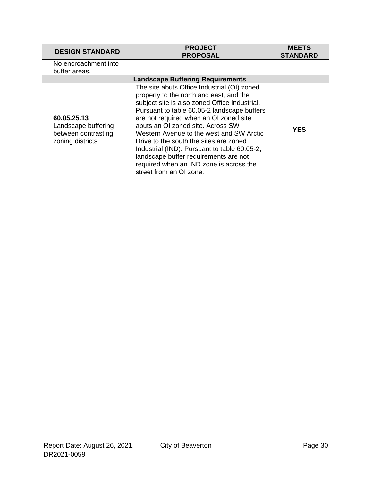| <b>DESIGN STANDARD</b>                                                        | <b>PROJECT</b><br><b>PROPOSAL</b>                                                                                                                                                                                                                                                                                                                                                                                                                                                                                          | <b>MEETS</b><br><b>STANDARD</b> |
|-------------------------------------------------------------------------------|----------------------------------------------------------------------------------------------------------------------------------------------------------------------------------------------------------------------------------------------------------------------------------------------------------------------------------------------------------------------------------------------------------------------------------------------------------------------------------------------------------------------------|---------------------------------|
| No encroachment into<br>buffer areas.                                         |                                                                                                                                                                                                                                                                                                                                                                                                                                                                                                                            |                                 |
|                                                                               | <b>Landscape Buffering Requirements</b>                                                                                                                                                                                                                                                                                                                                                                                                                                                                                    |                                 |
| 60.05.25.13<br>Landscape buffering<br>between contrasting<br>zoning districts | The site abuts Office Industrial (OI) zoned<br>property to the north and east, and the<br>subject site is also zoned Office Industrial.<br>Pursuant to table 60.05-2 landscape buffers<br>are not required when an OI zoned site<br>abuts an OI zoned site. Across SW<br>Western Avenue to the west and SW Arctic<br>Drive to the south the sites are zoned<br>Industrial (IND). Pursuant to table 60.05-2,<br>landscape buffer requirements are not<br>required when an IND zone is across the<br>street from an OI zone. | <b>YES</b>                      |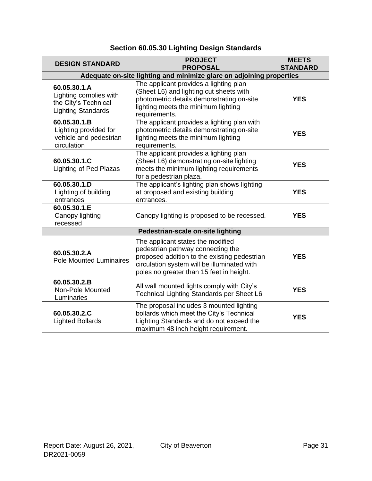| <b>DESIGN STANDARD</b>                                                                      | <b>PROJECT</b><br><b>PROPOSAL</b>                                                                                                                                                                                 | <b>MEETS</b><br><b>STANDARD</b> |
|---------------------------------------------------------------------------------------------|-------------------------------------------------------------------------------------------------------------------------------------------------------------------------------------------------------------------|---------------------------------|
|                                                                                             | Adequate on-site lighting and minimize glare on adjoining properties                                                                                                                                              |                                 |
| 60.05.30.1.A<br>Lighting complies with<br>the City's Technical<br><b>Lighting Standards</b> | The applicant provides a lighting plan<br>(Sheet L6) and lighting cut sheets with<br>photometric details demonstrating on-site<br>lighting meets the minimum lighting<br>requirements.                            | <b>YES</b>                      |
| 60.05.30.1.B<br>Lighting provided for<br>vehicle and pedestrian<br>circulation              | The applicant provides a lighting plan with<br>photometric details demonstrating on-site<br>lighting meets the minimum lighting<br>requirements.                                                                  | <b>YES</b>                      |
| 60.05.30.1.C<br><b>Lighting of Ped Plazas</b>                                               | The applicant provides a lighting plan<br>(Sheet L6) demonstrating on-site lighting<br>meets the minimum lighting requirements<br>for a pedestrian plaza.                                                         | <b>YES</b>                      |
| 60.05.30.1.D<br>Lighting of building<br>entrances                                           | The applicant's lighting plan shows lighting<br>at proposed and existing building<br>entrances.                                                                                                                   | <b>YES</b>                      |
| 60.05.30.1.E<br>Canopy lighting<br>recessed                                                 | Canopy lighting is proposed to be recessed.                                                                                                                                                                       | <b>YES</b>                      |
| Pedestrian-scale on-site lighting                                                           |                                                                                                                                                                                                                   |                                 |
| 60.05.30.2.A<br><b>Pole Mounted Luminaires</b>                                              | The applicant states the modified<br>pedestrian pathway connecting the<br>proposed addition to the existing pedestrian<br>circulation system will be illuminated with<br>poles no greater than 15 feet in height. | <b>YES</b>                      |
| 60.05.30.2.B<br>Non-Pole Mounted<br>Luminaries                                              | All wall mounted lights comply with City's<br>Technical Lighting Standards per Sheet L6                                                                                                                           | <b>YES</b>                      |
| 60.05.30.2.C<br><b>Lighted Bollards</b>                                                     | The proposal includes 3 mounted lighting<br>bollards which meet the City's Technical<br>Lighting Standards and do not exceed the<br>maximum 48 inch height requirement.                                           | <b>YES</b>                      |

### **Section 60.05.30 Lighting Design Standards**